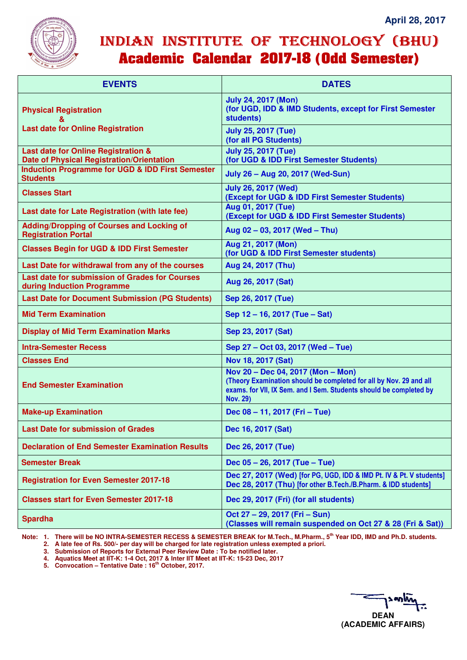

## INDIAN INSTITUTE OF TECHNOLOGY (BHU) **Academic Calendar 2017-18 (Odd Semester)**

| <b>EVENTS</b>                                                                           | <b>DATES</b>                                                                                                                                                                                     |
|-----------------------------------------------------------------------------------------|--------------------------------------------------------------------------------------------------------------------------------------------------------------------------------------------------|
| <b>Physical Registration</b>                                                            | <b>July 24, 2017 (Mon)</b><br>(for UGD, IDD & IMD Students, except for First Semester<br>students)                                                                                               |
| <b>Last date for Online Registration</b>                                                | <b>July 25, 2017 (Tue)</b><br>(for all PG Students)                                                                                                                                              |
| Last date for Online Registration &<br><b>Date of Physical Registration/Orientation</b> | <b>July 25, 2017 (Tue)</b><br>(for UGD & IDD First Semester Students)                                                                                                                            |
| <b>Induction Programme for UGD &amp; IDD First Semester</b><br><b>Students</b>          | July 26 - Aug 20, 2017 (Wed-Sun)                                                                                                                                                                 |
| <b>Classes Start</b>                                                                    | <b>July 26, 2017 (Wed)</b><br>(Except for UGD & IDD First Semester Students)                                                                                                                     |
| Last date for Late Registration (with late fee)                                         | Aug 01, 2017 (Tue)<br>(Except for UGD & IDD First Semester Students)                                                                                                                             |
| <b>Adding/Dropping of Courses and Locking of</b><br><b>Registration Portal</b>          | Aug 02 - 03, 2017 (Wed - Thu)                                                                                                                                                                    |
| <b>Classes Begin for UGD &amp; IDD First Semester</b>                                   | Aug 21, 2017 (Mon)<br>(for UGD & IDD First Semester students)                                                                                                                                    |
| Last Date for withdrawal from any of the courses                                        | Aug 24, 2017 (Thu)                                                                                                                                                                               |
| Last date for submission of Grades for Courses<br>during Induction Programme            | Aug 26, 2017 (Sat)                                                                                                                                                                               |
| <b>Last Date for Document Submission (PG Students)</b>                                  | Sep 26, 2017 (Tue)                                                                                                                                                                               |
| <b>Mid Term Examination</b>                                                             | Sep 12 - 16, 2017 (Tue - Sat)                                                                                                                                                                    |
| <b>Display of Mid Term Examination Marks</b>                                            | Sep 23, 2017 (Sat)                                                                                                                                                                               |
| <b>Intra-Semester Recess</b>                                                            | Sep 27 - Oct 03, 2017 (Wed - Tue)                                                                                                                                                                |
| <b>Classes End</b>                                                                      | Nov 18, 2017 (Sat)                                                                                                                                                                               |
| <b>End Semester Examination</b>                                                         | Nov 20 - Dec 04, 2017 (Mon - Mon)<br>(Theory Examination should be completed for all by Nov. 29 and all<br>exams. for VII, IX Sem. and I Sem. Students should be completed by<br><b>Nov. 29)</b> |
| <b>Make-up Examination</b>                                                              | Dec 08 - 11, 2017 (Fri - Tue)                                                                                                                                                                    |
| <b>Last Date for submission of Grades</b>                                               | Dec 16, 2017 (Sat)                                                                                                                                                                               |
| <b>Declaration of End Semester Examination Results</b>                                  | Dec 26, 2017 (Tue)                                                                                                                                                                               |
| <b>Semester Break</b>                                                                   | Dec 05 - 26, 2017 (Tue - Tue)                                                                                                                                                                    |
| <b>Registration for Even Semester 2017-18</b>                                           | Dec 27, 2017 (Wed) [for PG, UGD, IDD & IMD Pt. IV & Pt. V students]<br>Dec 28, 2017 (Thu) [for other B.Tech./B.Pharm. & IDD students]                                                            |
| <b>Classes start for Even Semester 2017-18</b>                                          | Dec 29, 2017 (Fri) (for all students)                                                                                                                                                            |
| <b>Spardha</b>                                                                          | Oct 27 - 29, 2017 (Fri - Sun)<br>(Classes will remain suspended on Oct 27 & 28 (Fri & Sat))                                                                                                      |

**Note: 1. There will be NO INTRA-SEMESTER RECESS & SEMESTER BREAK for M.Tech., M.Pharm., 5th Year IDD, IMD and Ph.D. students.** 

 **2. A late fee of Rs. 500/- per day will be charged for late registration unless exempted a priori.** 

 **3. Submission of Reports for External Peer Review Date : To be notified later.** 

 **4. Aquatics Meet at IIT-K: 1-4 Oct, 2017 & Inter IIT Meet at IIT-K: 15-23 Dec, 2017** 

 **5. Convocation – Tentative Date : 16th October, 2017.**

**DEAN (ACADEMIC AFFAIRS)**